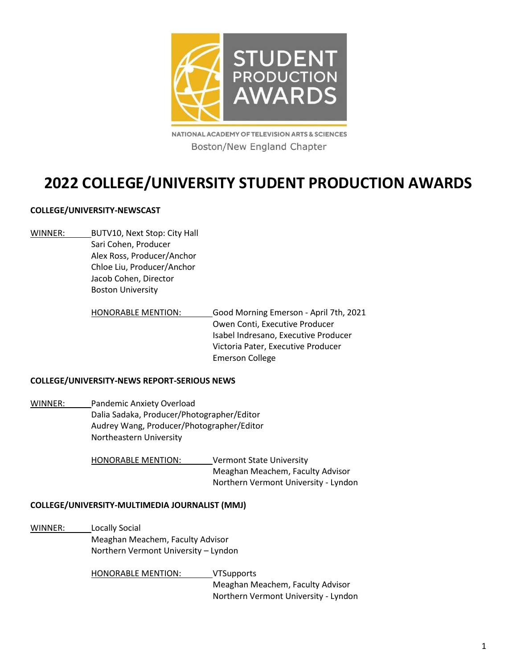

NATIONAL ACADEMY OF TELEVISION ARTS & SCIENCES Boston/New England Chapter

# **2022 COLLEGE/UNIVERSITY STUDENT PRODUCTION AWARDS**

# **COLLEGE/UNIVERSITY-NEWSCAST**

WINNER: BUTV10, Next Stop: City Hall Sari Cohen, Producer Alex Ross, Producer/Anchor Chloe Liu, Producer/Anchor Jacob Cohen, Director Boston University

> HONORABLE MENTION: Good Morning Emerson - April 7th, 2021 Owen Conti, Executive Producer Isabel Indresano, Executive Producer Victoria Pater, Executive Producer Emerson College

# **COLLEGE/UNIVERSITY-NEWS REPORT-SERIOUS NEWS**

WINNER: Pandemic Anxiety Overload Dalia Sadaka, Producer/Photographer/Editor Audrey Wang, Producer/Photographer/Editor Northeastern University

> HONORABLE MENTION: Vermont State University Meaghan Meachem, Faculty Advisor Northern Vermont University - Lyndon

# **COLLEGE/UNIVERSITY-MULTIMEDIA JOURNALIST (MMJ)**

WINNER: Locally Social Meaghan Meachem, Faculty Advisor Northern Vermont University – Lyndon

> HONORABLE MENTION: VTSupports Meaghan Meachem, Faculty Advisor Northern Vermont University - Lyndon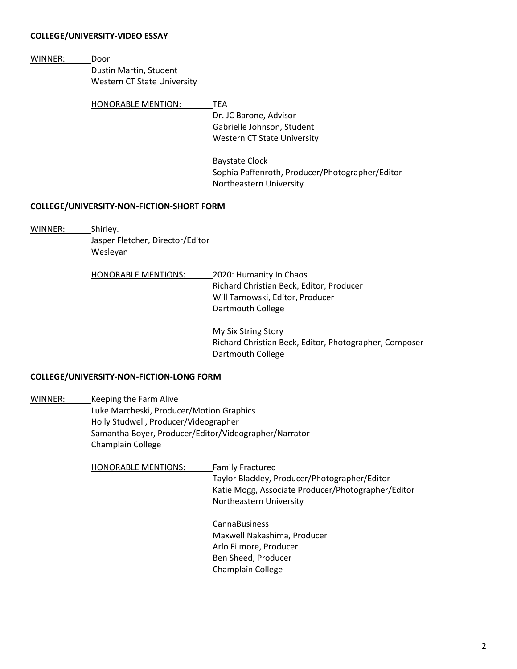## **COLLEGE/UNIVERSITY-VIDEO ESSAY**

WINNER: Door

Dustin Martin, Student Western CT State University

HONORABLE MENTION: TEA

Dr. JC Barone, Advisor Gabrielle Johnson, Student Western CT State University

Baystate Clock Sophia Paffenroth, Producer/Photographer/Editor Northeastern University

## **COLLEGE/UNIVERSITY-NON-FICTION-SHORT FORM**

WINNER: Shirley.

Jasper Fletcher, Director/Editor Wesleyan

| <b>HONORABLE MENTIONS:</b> | 2020: Humanity In Chaos                  |
|----------------------------|------------------------------------------|
|                            | Richard Christian Beck, Editor, Producer |
|                            | Will Tarnowski, Editor, Producer         |
|                            | Dartmouth College                        |

My Six String Story Richard Christian Beck, Editor, Photographer, Composer Dartmouth College

# **COLLEGE/UNIVERSITY-NON-FICTION-LONG FORM**

WINNER: Keeping the Farm Alive Luke Marcheski, Producer/Motion Graphics Holly Studwell, Producer/Videographer Samantha Boyer, Producer/Editor/Videographer/Narrator Champlain College

> HONORABLE MENTIONS: Family Fractured Taylor Blackley, Producer/Photographer/Editor Katie Mogg, Associate Producer/Photographer/Editor Northeastern University

> > CannaBusiness Maxwell Nakashima, Producer Arlo Filmore, Producer Ben Sheed, Producer Champlain College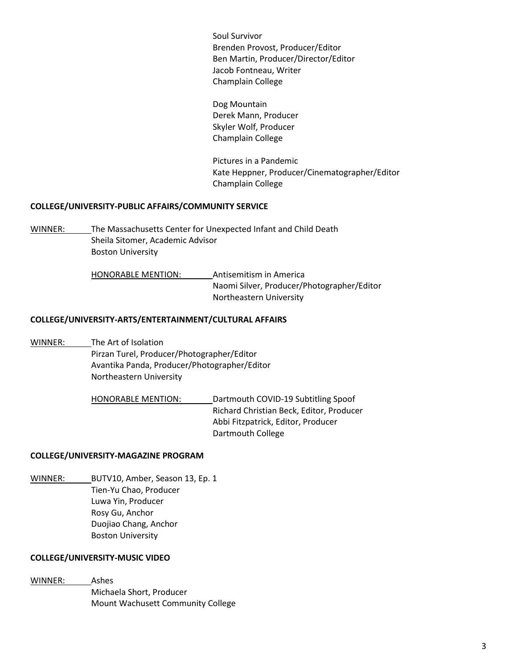Soul Survivor Brenden Provost, Producer/Editor Ben Martin, Producer/Director/Editor Jacob Fontneau, Writer Champlain College

| Dog Mountain          |
|-----------------------|
| Derek Mann, Producer  |
| Skyler Wolf, Producer |
| Champlain College     |

Pictures in a Pandemic Kate Heppner, Producer/Cinematographer/Editor Champlain College

# **COLLEGE/UNIVERSITY-PUBLIC AFFAIRS/COMMUNITY SERVICE**

WINNER: The Massachusetts Center for Unexpected Infant and Child Death Sheila Sitomer, Academic Advisor Boston University

> HONORABLE MENTION: Antisemitism in America Naomi Silver, Producer/Photographer/Editor Northeastern University

## **COLLEGE/UNIVERSITY-ARTS/ENTERTAINMENT/CULTURAL AFFAIRS**

WINNER: The Art of Isolation Pirzan Turel, Producer/Photographer/Editor Avantika Panda, Producer/Photographer/Editor Northeastern University

> HONORABLE MENTION: Dartmouth COVID-19 Subtitling Spoof Richard Christian Beck, Editor, Producer Abbi Fitzpatrick, Editor, Producer Dartmouth College

#### **COLLEGE/UNIVERSITY-MAGAZINE PROGRAM**

WINNER: BUTV10, Amber, Season 13, Ep. 1 Tien-Yu Chao, Producer Luwa Yin, Producer Rosy Gu, Anchor Duojiao Chang, Anchor Boston University

#### **COLLEGE/UNIVERSITY-MUSIC VIDEO**

WINNER: Ashes Michaela Short, Producer Mount Wachusett Community College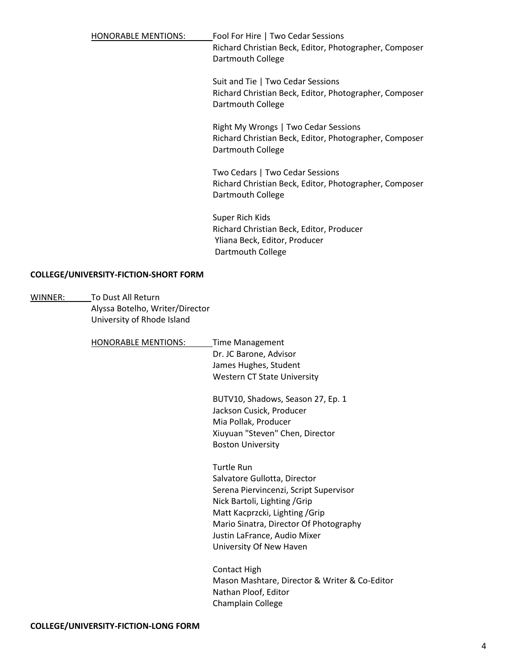HONORABLE MENTIONS: Fool For Hire | Two Cedar Sessions Richard Christian Beck, Editor, Photographer, Composer Dartmouth College

> Suit and Tie | Two Cedar Sessions Richard Christian Beck, Editor, Photographer, Composer Dartmouth College

> Right My Wrongs | Two Cedar Sessions Richard Christian Beck, Editor, Photographer, Composer Dartmouth College

> Two Cedars | Two Cedar Sessions Richard Christian Beck, Editor, Photographer, Composer Dartmouth College

Super Rich Kids Richard Christian Beck, Editor, Producer Yliana Beck, Editor, Producer Dartmouth College

# **COLLEGE/UNIVERSITY-FICTION-SHORT FORM**

| To Dust All Return         |                                                                       |
|----------------------------|-----------------------------------------------------------------------|
|                            |                                                                       |
| University of Rhode Island |                                                                       |
|                            |                                                                       |
| <b>HONORABLE MENTIONS:</b> | <b>Time Management</b>                                                |
|                            | Dr. JC Barone, Advisor                                                |
|                            | James Hughes, Student                                                 |
|                            | Western CT State University                                           |
|                            | BUTV10, Shadows, Season 27, Ep. 1                                     |
|                            | Jackson Cusick, Producer                                              |
|                            | Mia Pollak, Producer                                                  |
|                            | Xiuyuan "Steven" Chen, Director                                       |
|                            | <b>Boston University</b>                                              |
|                            | <b>Turtle Run</b>                                                     |
|                            | Salvatore Gullotta, Director                                          |
|                            | Serena Piervincenzi, Script Supervisor                                |
|                            | Nick Bartoli, Lighting / Grip                                         |
|                            | Matt Kacprzcki, Lighting / Grip                                       |
|                            | Mario Sinatra, Director Of Photography                                |
|                            | Justin LaFrance, Audio Mixer                                          |
|                            | University Of New Haven                                               |
|                            | <b>Contact High</b>                                                   |
|                            | Mason Mashtare, Director & Writer & Co-Editor<br>Nathan Ploof, Editor |
|                            | Champlain College                                                     |
|                            | Alyssa Botelho, Writer/Director                                       |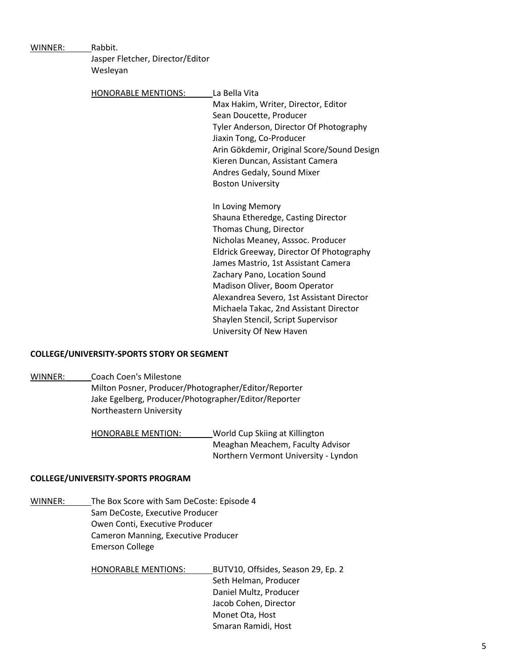| WINNER: | Rabbit.                          |                                            |
|---------|----------------------------------|--------------------------------------------|
|         | Jasper Fletcher, Director/Editor |                                            |
|         | Wesleyan                         |                                            |
|         |                                  |                                            |
|         | <b>HONORABLE MENTIONS:</b>       | La Bella Vita                              |
|         |                                  | Max Hakim, Writer, Director, Editor        |
|         |                                  | Sean Doucette, Producer                    |
|         |                                  | Tyler Anderson, Director Of Photography    |
|         |                                  | Jiaxin Tong, Co-Producer                   |
|         |                                  | Arin Gökdemir, Original Score/Sound Design |
|         |                                  | Kieren Duncan, Assistant Camera            |
|         |                                  | Andres Gedaly, Sound Mixer                 |
|         |                                  | <b>Boston University</b>                   |
|         |                                  | In Loving Memory                           |
|         |                                  | Shauna Etheredge, Casting Director         |
|         |                                  | Thomas Chung, Director                     |
|         |                                  | Nicholas Meaney, Asssoc. Producer          |
|         |                                  | Eldrick Greeway, Director Of Photography   |
|         |                                  | James Mastrio, 1st Assistant Camera        |
|         |                                  | Zachary Pano, Location Sound               |
|         |                                  | Madison Oliver, Boom Operator              |
|         |                                  | Alexandrea Severo, 1st Assistant Director  |
|         |                                  | Michaela Takac, 2nd Assistant Director     |
|         |                                  | Shaylen Stencil, Script Supervisor         |
|         |                                  | University Of New Haven                    |

#### **COLLEGE/UNIVERSITY-SPORTS STORY OR SEGMENT**

WINNER: Coach Coen's Milestone Milton Posner, Producer/Photographer/Editor/Reporter Jake Egelberg, Producer/Photographer/Editor/Reporter Northeastern University

> HONORABLE MENTION: World Cup Skiing at Killington Meaghan Meachem, Faculty Advisor Northern Vermont University - Lyndon

## **COLLEGE/UNIVERSITY-SPORTS PROGRAM**

WINNER: The Box Score with Sam DeCoste: Episode 4 Sam DeCoste, Executive Producer Owen Conti, Executive Producer Cameron Manning, Executive Producer Emerson College

> HONORABLE MENTIONS: BUTV10, Offsides, Season 29, Ep. 2 Seth Helman, Producer Daniel Multz, Producer Jacob Cohen, Director Monet Ota, Host Smaran Ramidi, Host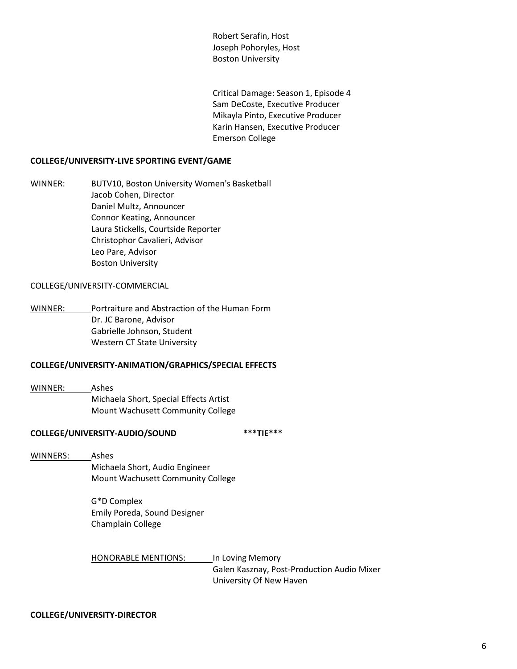Robert Serafin, Host Joseph Pohoryles, Host Boston University

Critical Damage: Season 1, Episode 4 Sam DeCoste, Executive Producer Mikayla Pinto, Executive Producer Karin Hansen, Executive Producer Emerson College

#### **COLLEGE/UNIVERSITY-LIVE SPORTING EVENT/GAME**

WINNER: BUTV10, Boston University Women's Basketball Jacob Cohen, Director Daniel Multz, Announcer Connor Keating, Announcer Laura Stickells, Courtside Reporter Christophor Cavalieri, Advisor Leo Pare, Advisor Boston University

#### COLLEGE/UNIVERSITY-COMMERCIAL

WINNER: Portraiture and Abstraction of the Human Form Dr. JC Barone, Advisor Gabrielle Johnson, Student Western CT State University

## **COLLEGE/UNIVERSITY-ANIMATION/GRAPHICS/SPECIAL EFFECTS**

WINNER: Ashes Michaela Short, Special Effects Artist Mount Wachusett Community College

#### **COLLEGE/UNIVERSITY-AUDIO/SOUND \*\*\*TIE\*\*\***

WINNERS: Ashes

Michaela Short, Audio Engineer Mount Wachusett Community College

G\*D Complex Emily Poreda, Sound Designer Champlain College

HONORABLE MENTIONS: In Loving Memory Galen Kasznay, Post-Production Audio Mixer University Of New Haven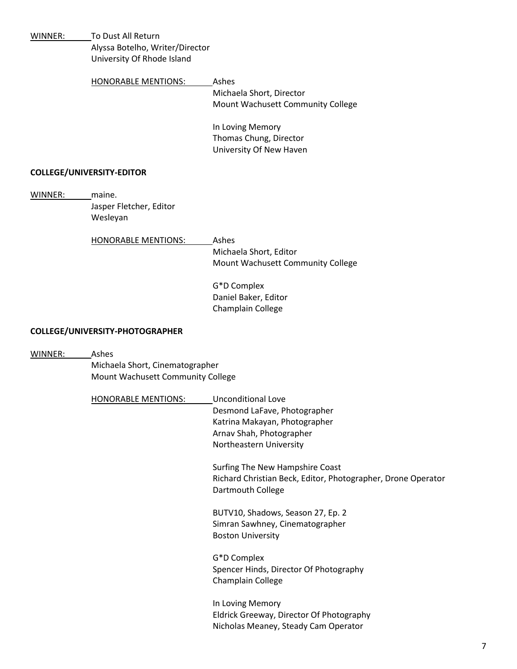| WINNER: | To Dust All Return                |                                                              |
|---------|-----------------------------------|--------------------------------------------------------------|
|         | Alyssa Botelho, Writer/Director   |                                                              |
|         | University Of Rhode Island        |                                                              |
|         | <b>HONORABLE MENTIONS:</b>        | Ashes                                                        |
|         |                                   | Michaela Short, Director                                     |
|         |                                   | Mount Wachusett Community College                            |
|         |                                   | In Loving Memory                                             |
|         |                                   | Thomas Chung, Director                                       |
|         |                                   | University Of New Haven                                      |
|         | <b>COLLEGE/UNIVERSITY-EDITOR</b>  |                                                              |
| WINNER: | maine.                            |                                                              |
|         | Jasper Fletcher, Editor           |                                                              |
|         | Wesleyan                          |                                                              |
|         | <b>HONORABLE MENTIONS:</b>        | Ashes                                                        |
|         |                                   | Michaela Short, Editor                                       |
|         |                                   | Mount Wachusett Community College                            |
|         |                                   | G*D Complex                                                  |
|         |                                   | Daniel Baker, Editor                                         |
|         |                                   | Champlain College                                            |
|         | COLLEGE/UNIVERSITY-PHOTOGRAPHER   |                                                              |
| WINNER: | Ashes                             |                                                              |
|         | Michaela Short, Cinematographer   |                                                              |
|         | Mount Wachusett Community College |                                                              |
|         | <b>HONORABLE MENTIONS:</b>        | <b>Unconditional Love</b>                                    |
|         |                                   | Desmond LaFave, Photographer                                 |
|         |                                   | Katrina Makayan, Photographer                                |
|         |                                   | Arnav Shah, Photographer                                     |
|         |                                   | Northeastern University                                      |
|         |                                   | Surfing The New Hampshire Coast                              |
|         |                                   | Richard Christian Beck, Editor, Photographer, Drone Operator |
|         |                                   | Dartmouth College                                            |
|         |                                   | BUTV10, Shadows, Season 27, Ep. 2                            |
|         |                                   | Simran Sawhney, Cinematographer                              |
|         |                                   | <b>Boston University</b>                                     |
|         |                                   | G*D Complex                                                  |
|         |                                   | Spencer Hinds, Director Of Photography                       |
|         |                                   | Champlain College                                            |
|         |                                   | In Loving Memory                                             |
|         |                                   | Eldrick Greeway, Director Of Photography                     |
|         |                                   | Nicholas Meaney, Steady Cam Operator                         |
|         |                                   |                                                              |